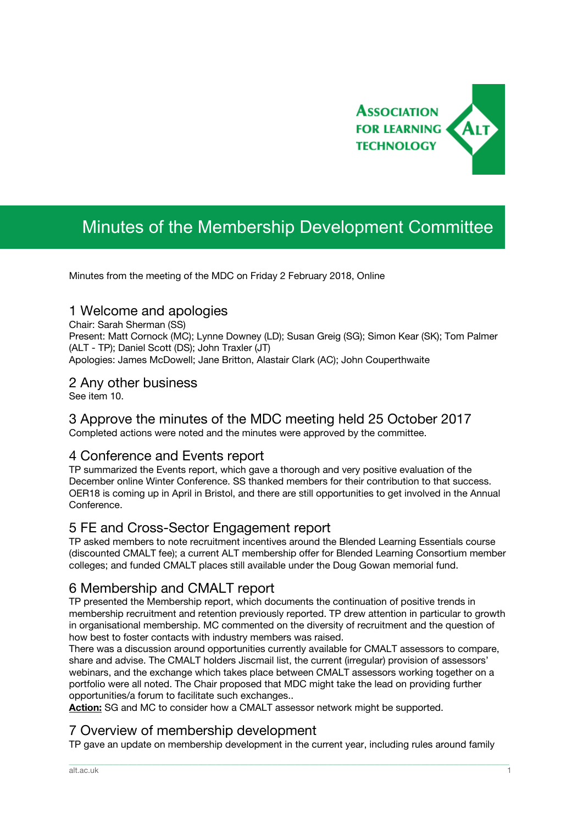

# Minutes of the Membership Development Committee

Minutes from the meeting of the MDC on Friday 2 February 2018, Online

## 1 Welcome and apologies

Chair: Sarah Sherman (SS)

Present: Matt Cornock (MC); Lynne Downey (LD); Susan Greig (SG); Simon Kear (SK); Tom Palmer (ALT - TP); Daniel Scott (DS); John Traxler (JT) Apologies: James McDowell; Jane Britton, Alastair Clark (AC); John Couperthwaite

## 2 Any other business

See item 10.

## 3 Approve the minutes of the MDC meeting held 25 October 2017

Completed actions were noted and the minutes were approved by the committee.

## 4 Conference and Events report

TP summarized the Events report, which gave a thorough and very positive evaluation of the December online Winter Conference. SS thanked members for their contribution to that success. OER18 is coming up in April in Bristol, and there are still opportunities to get involved in the Annual Conference.

## 5 FE and Cross-Sector Engagement report

TP asked members to note recruitment incentives around the Blended Learning Essentials course (discounted CMALT fee); a current ALT membership offer for Blended Learning Consortium member colleges; and funded CMALT places still available under the Doug Gowan memorial fund.

## 6 Membership and CMALT report

TP presented the Membership report, which documents the continuation of positive trends in membership recruitment and retention previously reported. TP drew attention in particular to growth in organisational membership. MC commented on the diversity of recruitment and the question of how best to foster contacts with industry members was raised.

There was a discussion around opportunities currently available for CMALT assessors to compare, share and advise. The CMALT holders Jiscmail list, the current (irregular) provision of assessors' webinars, and the exchange which takes place between CMALT assessors working together on a portfolio were all noted. The Chair proposed that MDC might take the lead on providing further opportunities/a forum to facilitate such exchanges..

**Action:** SG and MC to consider how a CMALT assessor network might be supported.

## 7 Overview of membership development

TP gave an update on membership development in the current year, including rules around family

\_\_\_\_\_\_\_\_\_\_\_\_\_\_\_\_\_\_\_\_\_\_\_\_\_\_\_\_\_\_\_\_\_\_\_\_\_\_\_\_\_\_\_\_\_\_\_\_\_\_\_\_\_\_\_\_\_\_\_\_\_\_\_\_\_\_\_\_\_\_\_\_\_\_\_\_\_\_\_\_\_\_\_\_\_\_\_\_\_\_\_\_\_\_\_\_\_\_\_\_\_\_\_\_\_\_\_\_\_\_\_\_\_\_\_\_\_\_\_\_\_\_\_\_\_\_\_\_\_\_\_\_\_\_\_\_\_\_\_\_\_\_\_\_\_\_\_\_\_\_